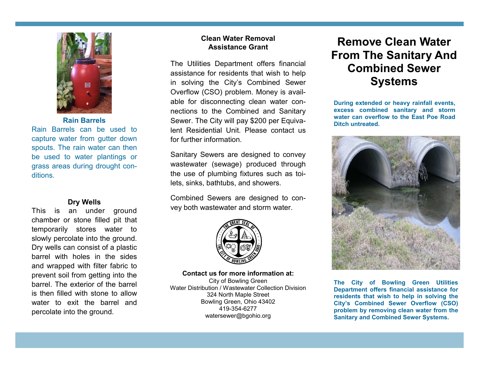

**Rain Barrels**

Rain Barrels can be used to capture water from gutter down spouts. The rain water can then be used to water plantings or grass areas during drought conditions.

### **Dry Wells**

This is an under ground chamber or stone filled pit that temporarily stores water to slowly percolate into the ground. Dry wells can consist of a plastic barrel with holes in the sides and wrapped with filter fabric to prevent soil from getting into the barrel. The exterior of the barrel is then filled with stone to allow water to exit the barrel and percolate into the ground.

# **Clean Water Removal Assistance Grant**

The Utilities Department offers financial assistance for residents that wish to help in solving the City's Combined Sewer Overflow (CSO) problem. Money is available for disconnecting clean water connections to the Combined and Sanitary Sewer. The City will pay \$200 per Equivalent Residential Unit. Please contact us for further information.

Sanitary Sewers are designed to convey wastewater (sewage) produced through the use of plumbing fixtures such as toilets, sinks, bathtubs, and showers.

Combined Sewers are designed to convey both wastewater and storm water.



#### **Contact us for more information at:**

City of Bowling Green Water Distribution / Wastewater Collection Division 324 North Maple Street Bowling Green, Ohio 43402 419-354-6277 watersewer@bgohio.org

# **Remove Clean Water From The Sanitary And Combined Sewer Systems**

**During extended or heavy rainfall events, excess combined sanitary and storm water can overflow to the East Poe Road Ditch untreated.**



**The City of Bowling Green Utilities Department offers financial assistance for residents that wish to help in solving the City's Combined Sewer Overflow (CSO) problem by removing clean water from the Sanitary and Combined Sewer Systems.**